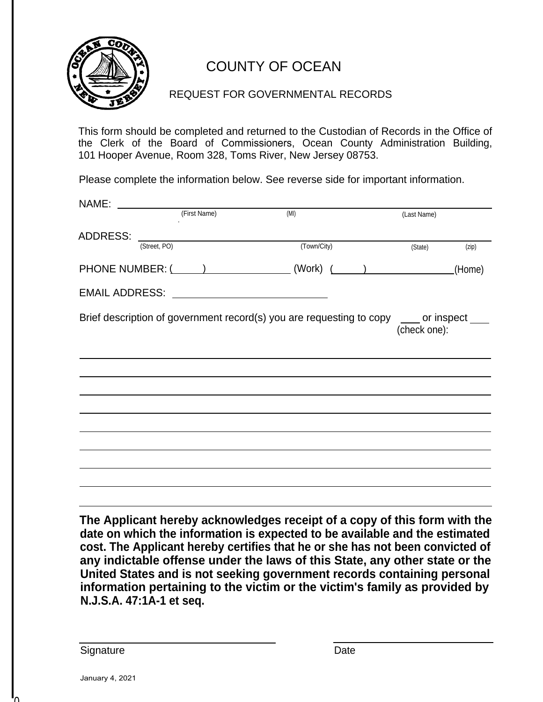

## COUNTY OF OCEAN

#### REQUEST FOR GOVERNMENTAL RECORDS

This form should be completed and returned to the Custodian of Records in the Office of the Clerk of the Board of Commissioners, Ocean County Administration Building, 101 Hooper Avenue, Room 328, Toms River, New Jersey 08753.

Please complete the information below. See reverse side for important information.

| NAME:                        |                                                                                         |             |  |              |        |
|------------------------------|-----------------------------------------------------------------------------------------|-------------|--|--------------|--------|
|                              | (First Name)                                                                            | (MI)        |  | (Last Name)  |        |
| ADDRESS: <u>(Street, PO)</u> |                                                                                         | (Town/City) |  | (State)      | (zip)  |
|                              |                                                                                         |             |  |              |        |
|                              |                                                                                         |             |  |              | (Home) |
|                              |                                                                                         |             |  |              |        |
|                              | Brief description of government record(s) you are requesting to copy ___ or inspect ___ |             |  |              |        |
|                              |                                                                                         |             |  | (check one): |        |
|                              |                                                                                         |             |  |              |        |
|                              |                                                                                         |             |  |              |        |
|                              |                                                                                         |             |  |              |        |
|                              |                                                                                         |             |  |              |        |
|                              |                                                                                         |             |  |              |        |
|                              |                                                                                         |             |  |              |        |
|                              |                                                                                         |             |  |              |        |
|                              |                                                                                         |             |  |              |        |
|                              |                                                                                         |             |  |              |        |
|                              |                                                                                         |             |  |              |        |

**The Applicant hereby acknowledges receipt of a copy of this form with the date on which the information is expected to be available and the estimated cost. The Applicant hereby certifies that he or she has not been convicted of any indictable offense under the laws of this State, any other state or the United States and is not seeking government records containing personal information pertaining to the victim or the victim's family as provided by N.J.S.A. 47:1A-1 et seq.**

Signature Date

 $\mathbf{D}$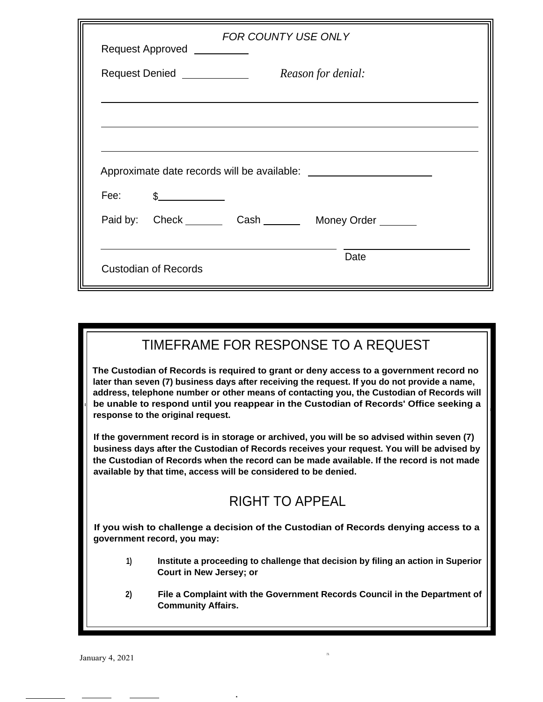| FOR COUNTY USE ONLY<br>Request Approved __________ |                                                                                                                                                                                                                                                                                                                        |  |                                                            |  |  |  |  |  |
|----------------------------------------------------|------------------------------------------------------------------------------------------------------------------------------------------------------------------------------------------------------------------------------------------------------------------------------------------------------------------------|--|------------------------------------------------------------|--|--|--|--|--|
|                                                    | Reason for denial:<br>Request Denied _____________                                                                                                                                                                                                                                                                     |  |                                                            |  |  |  |  |  |
|                                                    |                                                                                                                                                                                                                                                                                                                        |  |                                                            |  |  |  |  |  |
|                                                    |                                                                                                                                                                                                                                                                                                                        |  |                                                            |  |  |  |  |  |
|                                                    |                                                                                                                                                                                                                                                                                                                        |  |                                                            |  |  |  |  |  |
|                                                    | Fee: $\frac{1}{2}$ $\frac{1}{2}$ $\frac{1}{2}$ $\frac{1}{2}$ $\frac{1}{2}$ $\frac{1}{2}$ $\frac{1}{2}$ $\frac{1}{2}$ $\frac{1}{2}$ $\frac{1}{2}$ $\frac{1}{2}$ $\frac{1}{2}$ $\frac{1}{2}$ $\frac{1}{2}$ $\frac{1}{2}$ $\frac{1}{2}$ $\frac{1}{2}$ $\frac{1}{2}$ $\frac{1}{2}$ $\frac{1}{2}$ $\frac{1}{2}$ $\frac{1}{$ |  |                                                            |  |  |  |  |  |
|                                                    |                                                                                                                                                                                                                                                                                                                        |  | Paid by: Check _________ Cash ________ Money Order _______ |  |  |  |  |  |
|                                                    |                                                                                                                                                                                                                                                                                                                        |  |                                                            |  |  |  |  |  |
|                                                    | Date<br><b>Custodian of Records</b>                                                                                                                                                                                                                                                                                    |  |                                                            |  |  |  |  |  |

### TIMEFRAME FOR RESPONSE TO A REQUEST

.

11

 $\overline{\phantom{a}}$ 

**The Custodian of Records is required to grant or deny access to a government record no later than seven (7) business days after receiving the request. If you do not provide a name, address, telephone number or other means of contacting you, the Custodian of Records will be unable to respond until you reappear in the Custodian of Records' Office seeking a response to the original request.**

**If the government record is in storage or archived, you will be so advised within seven (7) business days after the Custodian of Records receives your request. You will be advised by the Custodian of Records when the record can be made available. If the record is not made available by that time, access will be considered to be denied.**

## RIGHT TO APPEAL

**If you wish to challenge a decision of the Custodian of Records denying access to a government record, you may:**

...

- **Institute a proceeding to challenge that decision by filing an action in Superior Court in New Jersey; or 1)**
- **File a Complaint with the Government Records Council in the Department of Community Affairs. 2)**

-

I